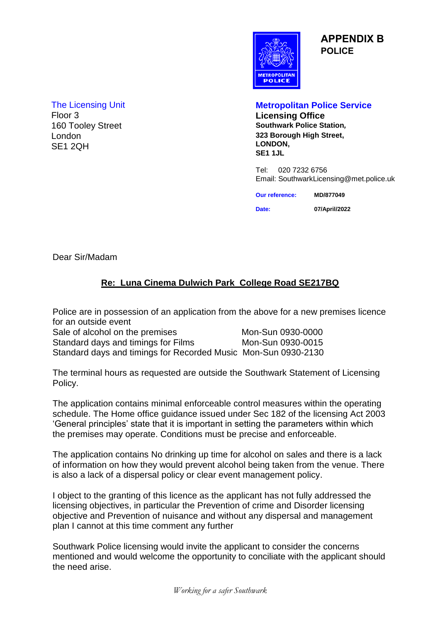

**APPENDIX B POLICE**

London SE1 2QH

## The Licensing Unit **Metropolitan Police Service**

Floor 3 **Licensing Office Southwark Police Station, 323 Borough High Street, LONDON, SE1 1JL**

> Tel: 020 7232 6756 Email: SouthwarkLicensing@met.police.uk

| <b>Our reference:</b> | MD/877049     |  |
|-----------------------|---------------|--|
| Date:                 | 07/April/2022 |  |

Dear Sir/Madam

# **Re: Luna Cinema Dulwich Park College Road SE217BQ**

Police are in possession of an application from the above for a new premises licence for an outside event

Sale of alcohol on the premises Mon-Sun 0930-0000 Standard days and timings for Films Mon-Sun 0930-0015 Standard days and timings for Recorded Music Mon-Sun 0930-2130

The terminal hours as requested are outside the Southwark Statement of Licensing Policy.

The application contains minimal enforceable control measures within the operating schedule. The Home office guidance issued under Sec 182 of the licensing Act 2003 'General principles' state that it is important in setting the parameters within which the premises may operate. Conditions must be precise and enforceable.

The application contains No drinking up time for alcohol on sales and there is a lack of information on how they would prevent alcohol being taken from the venue. There is also a lack of a dispersal policy or clear event management policy.

I object to the granting of this licence as the applicant has not fully addressed the licensing objectives, in particular the Prevention of crime and Disorder licensing objective and Prevention of nuisance and without any dispersal and management plan I cannot at this time comment any further

Southwark Police licensing would invite the applicant to consider the concerns mentioned and would welcome the opportunity to conciliate with the applicant should the need arise.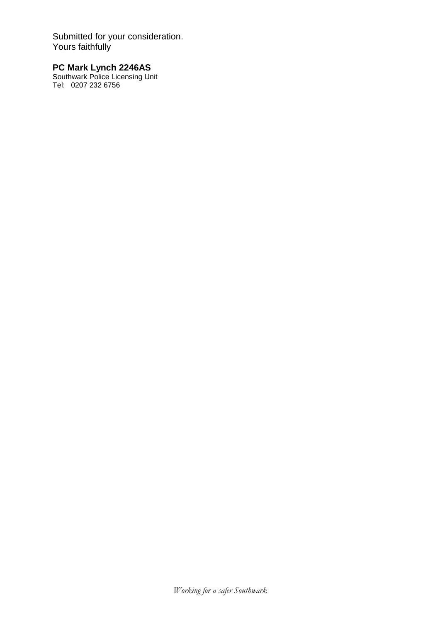Submitted for your consideration. Yours faithfully

#### **PC Mark Lynch 2246AS**

Southwark Police Licensing Unit Tel: 0207 232 6756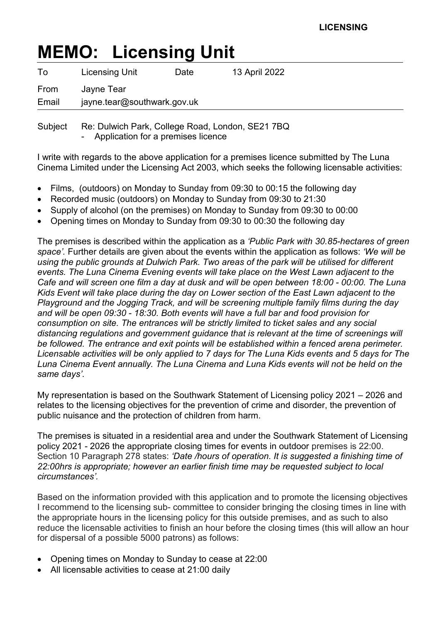# **MEMO: Licensing Unit**

| To            | <b>Licensing Unit</b>                     | Date | 13 April 2022 |
|---------------|-------------------------------------------|------|---------------|
| From<br>Email | Jayne Tear<br>jayne.tear@southwark.gov.uk |      |               |
|               |                                           |      |               |

Subject Re: Dulwich Park, College Road, London, SE21 7BQ Application for a premises licence

I write with regards to the above application for a premises licence submitted by The Luna Cinema Limited under the Licensing Act 2003, which seeks the following licensable activities:

- Films, (outdoors) on Monday to Sunday from 09:30 to 00:15 the following day
- Recorded music (outdoors) on Monday to Sunday from 09:30 to 21:30
- Supply of alcohol (on the premises) on Monday to Sunday from 09:30 to 00:00
- Opening times on Monday to Sunday from 09:30 to 00:30 the following day

The premises is described within the application as a *'Public Park with 30.85-hectares of green space'.* Further details are given about the events within the application as follows: *'We will be using the public grounds at Dulwich Park. Two areas of the park will be utilised for different events. The Luna Cinema Evening events will take place on the West Lawn adjacent to the Cafe and will screen one film a day at dusk and will be open between 18:00 - 00:00. The Luna Kids Event will take place during the day on Lower section of the East Lawn adjacent to the Playground and the Jogging Track, and will be screening multiple family films during the day and will be open 09:30 - 18:30. Both events will have a full bar and food provision for consumption on site. The entrances will be strictly limited to ticket sales and any social distancing regulations and government guidance that is relevant at the time of screenings will be followed. The entrance and exit points will be established within a fenced arena perimeter. Licensable activities will be only applied to 7 days for The Luna Kids events and 5 days for The Luna Cinema Event annually. The Luna Cinema and Luna Kids events will not be held on the same days'*.

My representation is based on the Southwark Statement of Licensing policy 2021 – 2026 and relates to the licensing objectives for the prevention of crime and disorder, the prevention of public nuisance and the protection of children from harm.

The premises is situated in a residential area and under the Southwark Statement of Licensing policy 2021 - 2026 the appropriate closing times for events in outdoor premises is 22:00. Section 10 Paragraph 278 states: *'Date /hours of operation. It is suggested a finishing time of 22:00hrs is appropriate; however an earlier finish time may be requested subject to local circumstances'.* 

Based on the information provided with this application and to promote the licensing objectives I recommend to the licensing sub- committee to consider bringing the closing times in line with the appropriate hours in the licensing policy for this outside premises, and as such to also reduce the licensable activities to finish an hour before the closing times (this will allow an hour for dispersal of a possible 5000 patrons) as follows:

- Opening times on Monday to Sunday to cease at 22:00
- All licensable activities to cease at 21:00 daily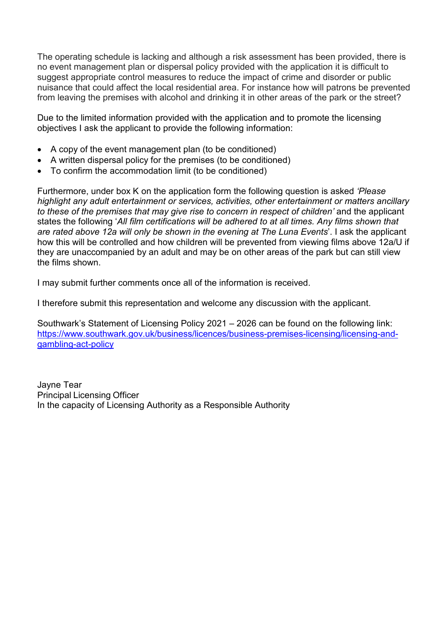The operating schedule is lacking and although a risk assessment has been provided, there is no event management plan or dispersal policy provided with the application it is difficult to suggest appropriate control measures to reduce the impact of crime and disorder or public nuisance that could affect the local residential area. For instance how will patrons be prevented from leaving the premises with alcohol and drinking it in other areas of the park or the street?

Due to the limited information provided with the application and to promote the licensing objectives I ask the applicant to provide the following information:

- A copy of the event management plan (to be conditioned)
- A written dispersal policy for the premises (to be conditioned)
- To confirm the accommodation limit (to be conditioned)

Furthermore, under box K on the application form the following question is asked *'Please highlight any adult entertainment or services, activities, other entertainment or matters ancillary*  to these of the premises that may give rise to concern in respect of children' and the applicant states the following '*All film certifications will be adhered to at all times. Any films shown that are rated above 12a will only be shown in the evening at The Luna Events*'. I ask the applicant how this will be controlled and how children will be prevented from viewing films above 12a/U if they are unaccompanied by an adult and may be on other areas of the park but can still view the films shown.

I may submit further comments once all of the information is received.

I therefore submit this representation and welcome any discussion with the applicant.

Southwark's Statement of Licensing Policy 2021 – 2026 can be found on the following link: https://www.southwark.gov.uk/business/licences/business-premises-licensing/licensing-andgambling-act-policy

Jayne Tear Principal Licensing Officer In the capacity of Licensing Authority as a Responsible Authority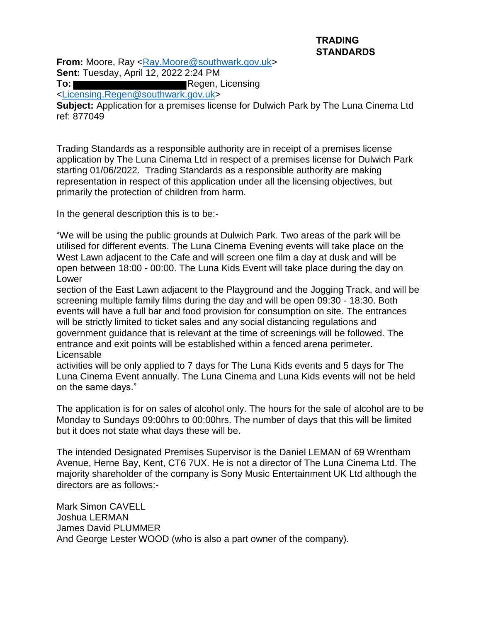#### **TRADING STANDARDS**

**From:** Moore, Ray <Ray.Moore@southwark.gov.uk> **Sent:** Tuesday, April 12, 2022 2:24 PM

**To:** Regen, Licensing

<Licensing.Regen@southwark.gov.uk>

**Subject:** Application for a premises license for Dulwich Park by The Luna Cinema Ltd ref: 877049

Trading Standards as a responsible authority are in receipt of a premises license application by The Luna Cinema Ltd in respect of a premises license for Dulwich Park starting 01/06/2022. Trading Standards as a responsible authority are making representation in respect of this application under all the licensing objectives, but primarily the protection of children from harm.

In the general description this is to be:-

"We will be using the public grounds at Dulwich Park. Two areas of the park will be utilised for different events. The Luna Cinema Evening events will take place on the West Lawn adjacent to the Cafe and will screen one film a day at dusk and will be open between 18:00 - 00:00. The Luna Kids Event will take place during the day on Lower

section of the East Lawn adjacent to the Playground and the Jogging Track, and will be screening multiple family films during the day and will be open 09:30 - 18:30. Both events will have a full bar and food provision for consumption on site. The entrances will be strictly limited to ticket sales and any social distancing regulations and government guidance that is relevant at the time of screenings will be followed. The entrance and exit points will be established within a fenced arena perimeter. Licensable

activities will be only applied to 7 days for The Luna Kids events and 5 days for The Luna Cinema Event annually. The Luna Cinema and Luna Kids events will not be held on the same days."

The application is for on sales of alcohol only. The hours for the sale of alcohol are to be Monday to Sundays 09:00hrs to 00:00hrs. The number of days that this will be limited but it does not state what days these will be.

The intended Designated Premises Supervisor is the Daniel LEMAN of 69 Wrentham Avenue, Herne Bay, Kent, CT6 7UX. He is not a director of The Luna Cinema Ltd. The majority shareholder of the company is Sony Music Entertainment UK Ltd although the directors are as follows:-

Mark Simon CAVELL Joshua LERMAN James David PLUMMER And George Lester WOOD (who is also a part owner of the company).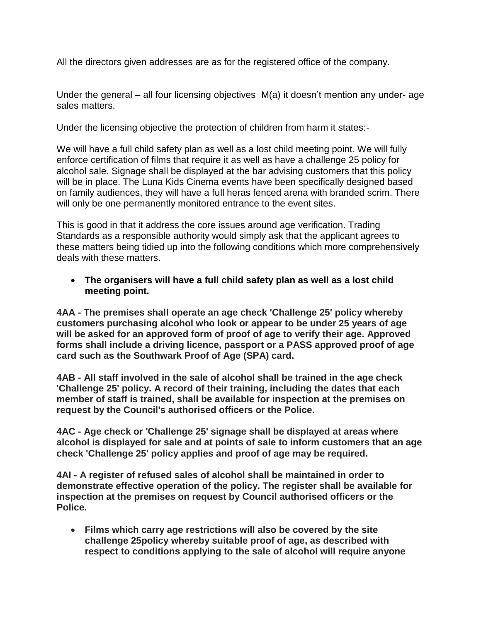All the directors given addresses are as for the registered office of the company.

Under the general – all four licensing objectives M(a) it doesn't mention any under- age sales matters.

Under the licensing objective the protection of children from harm it states:-

We will have a full child safety plan as well as a lost child meeting point. We will fully enforce certification of films that require it as well as have a challenge 25 policy for alcohol sale. Signage shall be displayed at the bar advising customers that this policy will be in place. The Luna Kids Cinema events have been specifically designed based on family audiences, they will have a full heras fenced arena with branded scrim. There will only be one permanently monitored entrance to the event sites.

This is good in that it address the core issues around age verification. Trading Standards as a responsible authority would simply ask that the applicant agrees to these matters being tidied up into the following conditions which more comprehensively deals with these matters.

### **The organisers will have a full child safety plan as well as a lost child meeting point.**

**4AA - The premises shall operate an age check 'Challenge 25' policy whereby customers purchasing alcohol who look or appear to be under 25 years of age will be asked for an approved form of proof of age to verify their age. Approved forms shall include a driving licence, passport or a PASS approved proof of age card such as the Southwark Proof of Age (SPA) card.** 

**4AB - All staff involved in the sale of alcohol shall be trained in the age check 'Challenge 25' policy. A record of their training, including the dates that each member of staff is trained, shall be available for inspection at the premises on request by the Council's authorised officers or the Police.** 

**4AC - Age check or 'Challenge 25' signage shall be displayed at areas where alcohol is displayed for sale and at points of sale to inform customers that an age check 'Challenge 25' policy applies and proof of age may be required.** 

**4AI - A register of refused sales of alcohol shall be maintained in order to demonstrate effective operation of the policy. The register shall be available for inspection at the premises on request by Council authorised officers or the Police.**

 **Films which carry age restrictions will also be covered by the site challenge 25policy whereby suitable proof of age, as described with respect to conditions applying to the sale of alcohol will require anyone**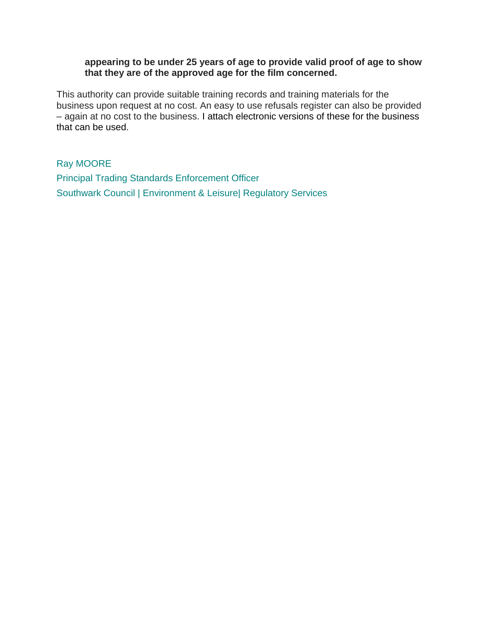#### **appearing to be under 25 years of age to provide valid proof of age to show that they are of the approved age for the film concerned.**

This authority can provide suitable training records and training materials for the business upon request at no cost. An easy to use refusals register can also be provided – again at no cost to the business. I attach electronic versions of these for the business that can be used.

Ray MOORE Principal Trading Standards Enforcement Officer Southwark Council | Environment & Leisure| Regulatory Services